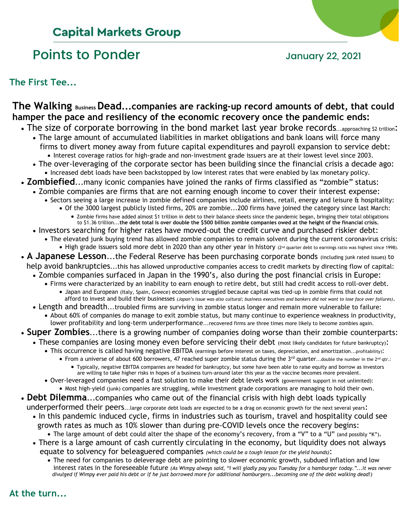## **Capital Markets Group**

# Points to Ponder and Tanary 22, 2021

**The First Tee...**

## **The Walking Business Dead...companies are racking-up record amounts of debt, that could hamper the pace and resiliency of the economic recovery once the pandemic ends:**

- The size of corporate borrowing in the bond market last year broke records...approaching \$2 trillion:
	- The large amount of accumulated liabilities in market obligations and bank loans will force many firms to divert money away from future capital expenditures and payroll expansion to service debt: • Interest coverage ratios for high-grade and non-investment grade issuers are at their lowest level since 2003.
	- The over-leveraging of the corporate sector has been building since the financial crisis a decade ago: • Increased debt loads have been backstopped by low interest rates that were enabled by lax monetary policy.
- **Zombiefied**...many iconic companies have joined the ranks of firms classified as "zombie" status:
- Zombie companies are firms that are not earning enough income to cover their interest expense:
	- Sectors seeing a large increase in zombie defined companies include airlines, retail, energy and leisure & hospitality:
		- Of the 3000 largest publicly listed firms, 20% are zombie...200 firms have joined the category since last March: • Zombie firms have added almost \$1 trillion in debt to their balance sheets since the pandemic began, bringing their total obligations
	- to \$1.36 trillion...**the debt total is over double the \$500 billion zombie companies owed at the height of the financial crisis.** • Investors searching for higher rates have moved-out the credit curve and purchased riskier debt:
		- The elevated junk buying trend has allowed zombie companies to remain solvent during the current coronavirus crisis:
		- High grade issuers sold more debt in 2020 than any other year in history (2<sup>nd</sup> quarter debt to earnings ratio was highest since 1998).
- **A Japanese Lesson**...the Federal Reserve has been purchasing corporate bonds (including junk rated issues) to help avoid bankruptcies...this has allowed unproductive companies access to credit markets by directing flow of capital:
	- Zombie companies surfaced in Japan in the 1990's, also during the post financial crisis in Europe:
		- Firms were characterized by an inability to earn enough to retire debt, but still had credit access to roll-over debt.
			- Japan and European (Italy, Spain, Greece) economies struggled because capital was tied-up in zombie firms that could not afford to invest and build their businesses *(Japan's issue was also cultural; business executives and bankers did not want to lose face over failures)*.
	- Length and breadth...troubled firms are surviving in zombie status longer and remain more vulnerable to failure: • About 60% of companies do manage to exit zombie status, but many continue to experience weakness in productivity,
		- lower profitability and long-term underperformance...recovered firms are three times more likely to become zombies again.
- **Super Zombies**...there is a growing number of companies doing worse than their zombie counterparts:
	- These companies are losing money even before servicing their debt (most likely candidates for future bankruptcy):
		- This occurrence is called having negative EBITDA (earnings before interest on taxes, depreciation, and amortization...profitability):
			- From a universe of about 600 borrowers, 47 reached super zombie status during the  $3^{rd}$  quarter...double the number in the  $2^{nd}$  qtr.: • Typically, negative EBITDA companies are headed for bankruptcy, but some have been able to raise equity and borrow as investors
		- are willing to take higher risks in hopes of a business turn-around later this year as the vaccine becomes more prevalent. • Over-leveraged companies need a fast solution to make their debt levels work (government support in not unlimited):
			- Most high-yield (junk) companies are struggling, while investment grade corporations are managing to hold their own.
- **Debt Dilemma**...companies who came out of the financial crisis with high debt loads typically underperformed their peers...large corporate debt loads are expected to be a drag on economic growth for the next several years:
	- In this pandemic induced cycle, firms in industries such as tourism, travel and hospitality could see growth rates as much as 10% slower than during pre-COVID levels once the recovery begins:
	- The large amount of debt could alter the shape of the economy's recovery, from a "V" to a "U" (and possibly "K"). • There is a large amount of cash currently circulating in the economy, but liquidity does not always
		- equate to solvency for beleaguered companies *(which could be a tough lesson for the yield hounds)*:
			- The need for companies to deleverage debt are pointing to slower economic growth, subdued inflation and low interest rates in the foreseeable future *(As Wimpy always said, "I will gladly pay you Tuesday for a hamburger today."...it was never divulged if Wimpy ever paid his debt or if he just borrowed more for additional hamburgers...becoming one of the debt walking dead!)*